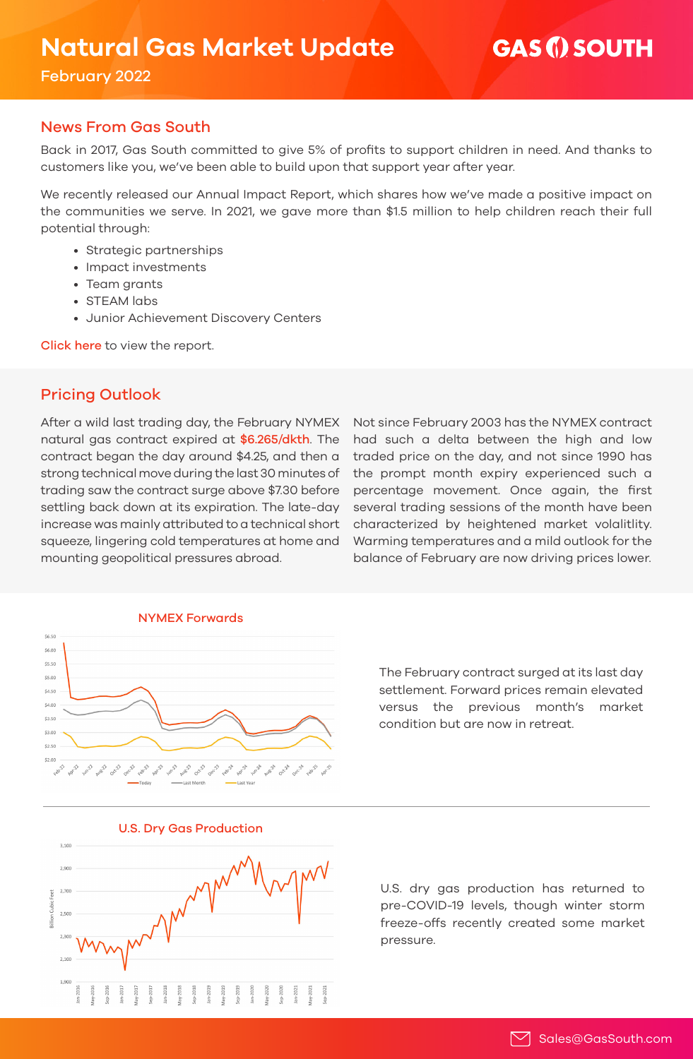# **GAS (i) SOUTH**

February 2022

## News From Gas South

Back in 2017, Gas South committed to give 5% of profits to support children in need. And thanks to customers like you, we've been able to build upon that support year after year.

We recently released our Annual Impact Report, which shares how we've made a positive impact on the communities we serve. In 2021, we gave more than \$1.5 million to help children reach their full potential through:

- Strategic partnerships
- Impact investments
- Team grants
- STEAM labs
- Junior Achievement Discovery Centers

Click here [to view the report.](https://issuu.com/gassouth/docs/2021_annual_giving_report)

# Pricing Outlook

After a wild last trading day, the February NYMEX natural gas contract expired at \$6.265/dkth. The contract began the day around \$4.25, and then a strong technical move during the last 30 minutes of trading saw the contract surge above \$7.30 before settling back down at its expiration. The late-day increase was mainly attributed to a technical short squeeze, lingering cold temperatures at home and mounting geopolitical pressures abroad.

Not since February 2003 has the NYMEX contract had such a delta between the high and low traded price on the day, and not since 1990 has the prompt month expiry experienced such a percentage movement. Once again, the first several trading sessions of the month have been characterized by heightened market volalitlity. Warming temperatures and a mild outlook for the balance of February are now driving prices lower.



The February contract surged at its last day settlement. Forward prices remain elevated versus the previous month's market condition but are now in retreat.



U.S. Dry Gas Production

U.S. dry gas production has returned to pre-COVID-19 levels, though winter storm freeze-offs recently created some market pressure.